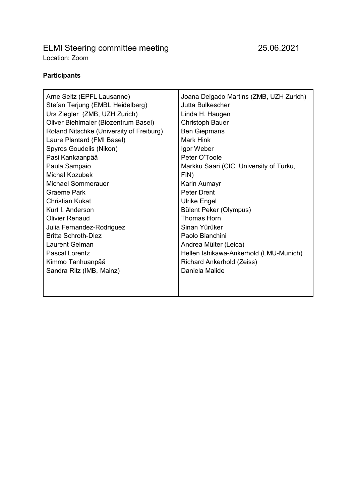# ELMI Steering committee meeting 25.06.2021 Location: Zoom

## **Participants**

| Arne Seitz (EPFL Lausanne)               | Joana Delgado Martins (ZMB, UZH Zurich) |
|------------------------------------------|-----------------------------------------|
| Stefan Terjung (EMBL Heidelberg)         | Jutta Bulkescher                        |
| Urs Ziegler (ZMB, UZH Zurich)            | Linda H. Haugen                         |
| Oliver Biehlmaier (Biozentrum Basel)     | <b>Christoph Bauer</b>                  |
| Roland Nitschke (University of Freiburg) | <b>Ben Giepmans</b>                     |
| Laure Plantard (FMI Basel)               | Mark Hink                               |
| Spyros Goudelis (Nikon)                  | Igor Weber                              |
| Pasi Kankaanpää                          | Peter O'Toole                           |
| Paula Sampaio                            | Markku Saari (CIC, University of Turku, |
| Michal Kozubek                           | FIN)                                    |
| Michael Sommerauer                       | Karin Aumayr                            |
| Graeme Park                              | <b>Peter Drent</b>                      |
| <b>Christian Kukat</b>                   | <b>Ulrike Engel</b>                     |
| Kurt L Anderson                          | Bülent Peker (Olympus)                  |
| <b>Olivier Renaud</b>                    | Thomas Horn                             |
| Julia Fernandez-Rodriguez                | Sinan Yürüker                           |
| <b>Britta Schroth-Diez</b>               | Paolo Bianchini                         |
| Laurent Gelman                           | Andrea Mülter (Leica)                   |
| <b>Pascal Lorentz</b>                    | Hellen Ishikawa-Ankerhold (LMU-Munich)  |
| Kimmo Tanhuanpää                         | Richard Ankerhold (Zeiss)               |
| Sandra Ritz (IMB, Mainz)                 | Daniela Malide                          |
|                                          |                                         |
|                                          |                                         |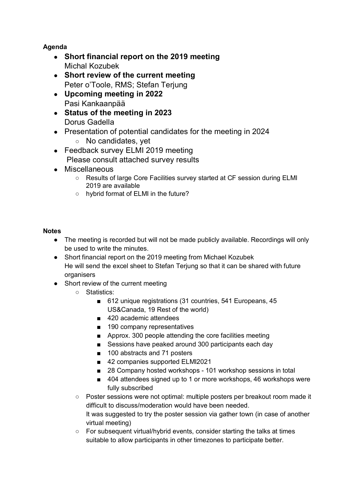## **Agenda**

- **Short financial report on the 2019 meeting** Michal Kozubek
- **Short review of the current meeting** Peter o'Toole, RMS; Stefan Terjung
- **Upcoming meeting in 2022** Pasi Kankaanpää
- **Status of the meeting in 2023** Dorus Gadella
- Presentation of potential candidates for the meeting in 2024
	- No candidates, yet
- Feedback survey ELMI 2019 meeting Please consult attached survey results
- Miscellaneous
	- Results of large Core Facilities survey started at CF session during ELMI 2019 are available
	- hybrid format of ELMI in the future?

### **Notes**

- The meeting is recorded but will not be made publicly available. Recordings will only be used to write the minutes.
- Short financial report on the 2019 meeting from Michael Kozubek He will send the excel sheet to Stefan Terjung so that it can be shared with future organisers
- Short review of the current meeting
	- Statistics:
		- 612 unique registrations (31 countries, 541 Europeans, 45 US&Canada, 19 Rest of the world)
		- 420 academic attendees
		- 190 company representatives
		- Approx. 300 people attending the core facilities meeting
		- Sessions have peaked around 300 participants each day
		- 100 abstracts and 71 posters
		- 42 companies supported ELMI2021
		- 28 Company hosted workshops 101 workshop sessions in total
		- 404 attendees signed up to 1 or more workshops, 46 workshops were fully subscribed
	- Poster sessions were not optimal: multiple posters per breakout room made it difficult to discuss/moderation would have been needed. It was suggested to try the poster session via gather town (in case of another virtual meeting)
	- For subsequent virtual/hybrid events, consider starting the talks at times suitable to allow participants in other timezones to participate better.